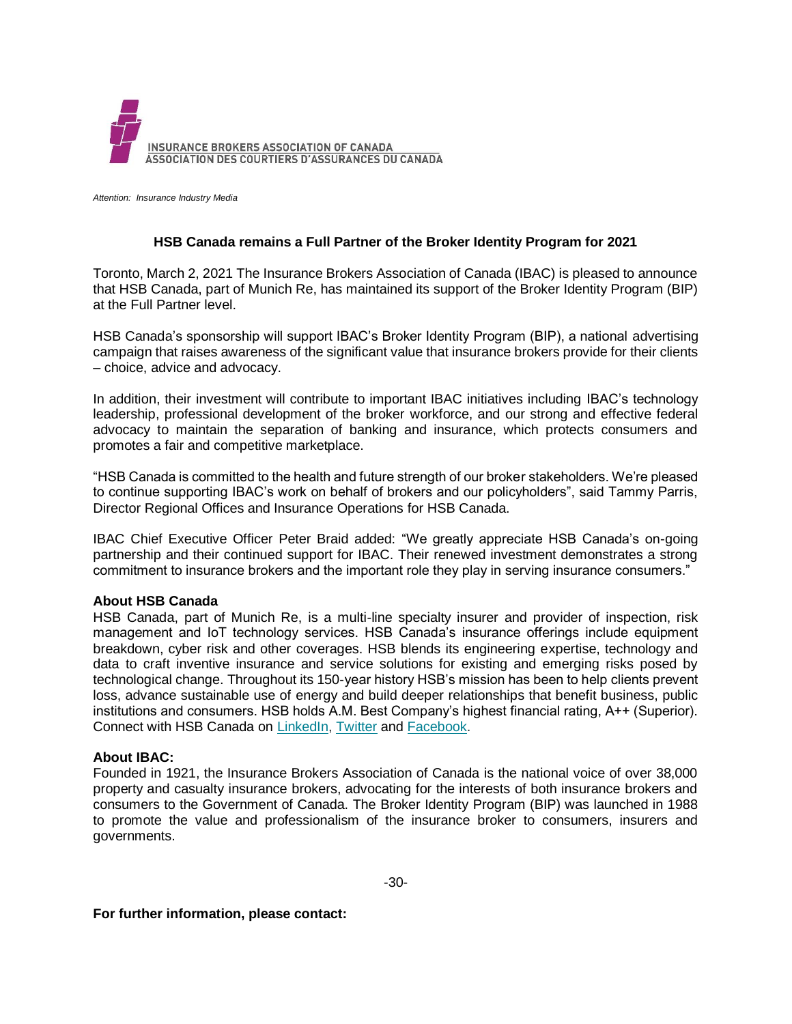

*Attention: Insurance Industry Media*

## **HSB Canada remains a Full Partner of the Broker Identity Program for 2021**

Toronto, March 2, 2021 The Insurance Brokers Association of Canada (IBAC) is pleased to announce that HSB Canada, part of Munich Re, has maintained its support of the Broker Identity Program (BIP) at the Full Partner level.

HSB Canada's sponsorship will support IBAC's Broker Identity Program (BIP), a national advertising campaign that raises awareness of the significant value that insurance brokers provide for their clients – choice, advice and advocacy.

In addition, their investment will contribute to important IBAC initiatives including IBAC's technology leadership, professional development of the broker workforce, and our strong and effective federal advocacy to maintain the separation of banking and insurance, which protects consumers and promotes a fair and competitive marketplace.

"HSB Canada is committed to the health and future strength of our broker stakeholders. We're pleased to continue supporting IBAC's work on behalf of brokers and our policyholders", said Tammy Parris, Director Regional Offices and Insurance Operations for HSB Canada.

IBAC Chief Executive Officer Peter Braid added: "We greatly appreciate HSB Canada's on-going partnership and their continued support for IBAC. Their renewed investment demonstrates a strong commitment to insurance brokers and the important role they play in serving insurance consumers."

## **About HSB Canada**

HSB Canada, part of Munich Re, is a multi-line specialty insurer and provider of inspection, risk management and IoT technology services. HSB Canada's insurance offerings include equipment breakdown, cyber risk and other coverages. HSB blends its engineering expertise, technology and data to craft inventive insurance and service solutions for existing and emerging risks posed by technological change. Throughout its 150-year history HSB's mission has been to help clients prevent loss, advance sustainable use of energy and build deeper relationships that benefit business, public institutions and consumers. HSB holds A.M. Best Company's highest financial rating, A++ (Superior). Connect with HSB Canada on [LinkedIn,](https://www.linkedin.com/company/hsbcanada/) [Twitter](https://twitter.com/hsb_canada) and [Facebook.](https://www.facebook.com/hsbcanada1)

## **About IBAC:**

Founded in 1921, the Insurance Brokers Association of Canada is the national voice of over 38,000 property and casualty insurance brokers, advocating for the interests of both insurance brokers and consumers to the Government of Canada. The Broker Identity Program (BIP) was launched in 1988 to promote the value and professionalism of the insurance broker to consumers, insurers and governments.

**For further information, please contact:**